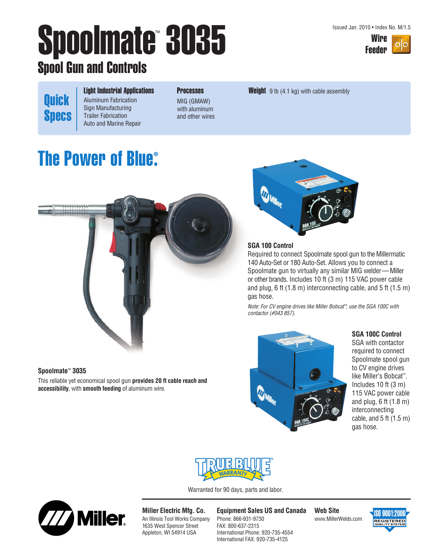Issued Jan. 2010 • Index No. M/1.5



# Spoolmate 3035 Wire Wire Spool Gun and Controls

Light Industrial Applications Aluminum Fabrication Sign Manufacturing Trailer Fabrication Auto and Marine Repair

**Processes** MIG (GMAW)

with aluminum and other wires **Weight** 9 lb  $(4.1 \text{ kg})$  with cable assembly

### **The Power of Blue® .**

**Quick** 

**Specs** 



#### **Spoolmate**™ **3035**

This reliable yet economical spool gun **provides 20 ft cable reach and accessibility**, with **smooth feeding** of aluminum wire.



#### **SGA 100 Control**

Required to connect Spoolmate spool gun to the Millermatic 140 Auto-Set or 180 Auto-Set. Allows you to connect a Spoolmate gun to virtually any similar MIG welder—Miller or other brands. Includes 10 ft (3 m) 115 VAC power cable and plug, 6 ft (1.8 m) interconnecting cable, and 5 ft (1.5 m) gas hose.

Note: For CV engine drives like Miller Bobcat™, use the SGA 100C with contactor (#043 857).



#### **SGA 100C Control**

SGA with contactor required to connect Spoolmate spool gun to CV engine drives like Miller's Bobcat™ . Includes 10 ft (3 m) 115 VAC power cable and plug, 6 ft (1.8 m) interconnecting cable, and  $5$  ft  $(1.5 \text{ m})$ gas hose.



Warranted for 90 days, parts and labor.



**Miller Electric Mfg. Co.** An Illinois Tool Works Company 1635 West Spencer Street Appleton, WI 54914 USA

**Equipment Sales US and Canada** Phone: 866-931-9730 FAX: 800-637-2315 International Phone: 920-735-4554 International FAX: 920-735-4125

**Web Site** www.MillerWelds.com

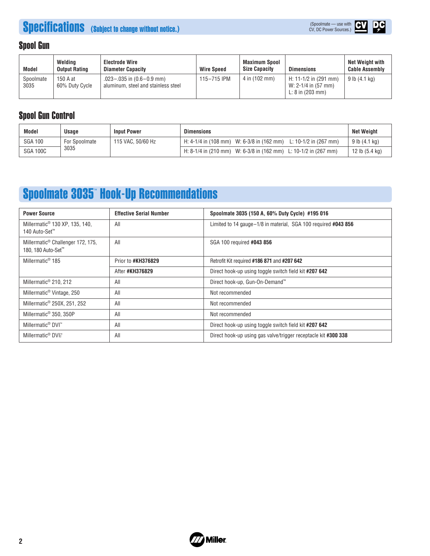# **Specifications** (Subject to change without notice.)





### Spool Gun

| <b>Model</b>      | Weldina<br><b>Output Rating</b> | <b>Electrode Wire</b><br><b>Diameter Capacity</b>                        | <b>Wire Speed</b> | Maximum Spool<br><b>Size Capacity</b> | <b>Dimensions</b>                                                            | Net Weight with<br><b>Cable Assembly</b> |
|-------------------|---------------------------------|--------------------------------------------------------------------------|-------------------|---------------------------------------|------------------------------------------------------------------------------|------------------------------------------|
| Spoolmate<br>3035 | 150 A at<br>60% Duty Cycle      | $.023 - .035$ in $(0.6 - 0.9$ mm)<br>aluminum, steel and stainless steel | 115-715 IPM       | 4 in (102 mm)                         | H: 11-1/2 in (291 mm)<br>W: 2-1/4 in (57 mm)<br>L: $8$ in $(203 \text{ mm})$ | 9 lb (4.1 kg)                            |

### Spool Gun Control

| Model           | Usage                | <b>Input Power</b> | <b>Dimensions</b>                                                  | Net Weight               |
|-----------------|----------------------|--------------------|--------------------------------------------------------------------|--------------------------|
| <b>SGA 100</b>  | <b>For Spoolmate</b> | 115 VAC, 50/60 Hz  | H: 4-1/4 in (108 mm) W: 6-3/8 in (162 mm)<br>L: 10-1/2 in (267 mm) | $9$ lb $(4.1$ kg)        |
| <b>SGA 100C</b> | 3035                 |                    | H: 8-1/4 in (210 mm) W: 6-3/8 in (162 mm) L: 10-1/2 in (267 mm)    | 12 lb $(5.4 \text{ kg})$ |

## Spoolmate 3035™ Hook-Up Recommendations

| <b>Power Source</b>                                                             | <b>Effective Serial Number</b> | Spoolmate 3035 (150 A, 60% Duty Cycle) #195 016                |
|---------------------------------------------------------------------------------|--------------------------------|----------------------------------------------------------------|
| Millermatic <sup>®</sup> 130 XP, 135, 140,<br>140 Auto-Set <sup>™</sup>         | All                            | Limited to 14 gauge-1/8 in material, SGA 100 required #043 856 |
| Millermatic <sup>®</sup> Challenger 172, 175,<br>180, 180 Auto-Set <sup>™</sup> | All                            | SGA 100 required #043 856                                      |
| Millermatic <sup>®</sup> 185                                                    | Prior to #KH376829             | Retrofit Kit required #186 871 and #207 642                    |
|                                                                                 | After #KH376829                | Direct hook-up using toggle switch field kit #207 642          |
| Millermatic <sup>®</sup> 210, 212                                               | All                            | Direct hook-up, Gun-On-Demand™                                 |
| Millermatic <sup>®</sup> Vintage, 250                                           | All                            | Not recommended                                                |
| Millermatic <sup>®</sup> 250X, 251, 252                                         | All                            | Not recommended                                                |
| Millermatic <sup>®</sup> 350, 350P                                              | All                            | Not recommended                                                |
| Millermatic <sup>®</sup> DVI <sup>™</sup>                                       | All                            | Direct hook-up using toggle switch field kit #207 642          |
| Millermatic <sup>®</sup> DVI $\frac{1}{2}$                                      | All                            | Direct hook-up using gas valve/trigger receptacle kit #300 338 |

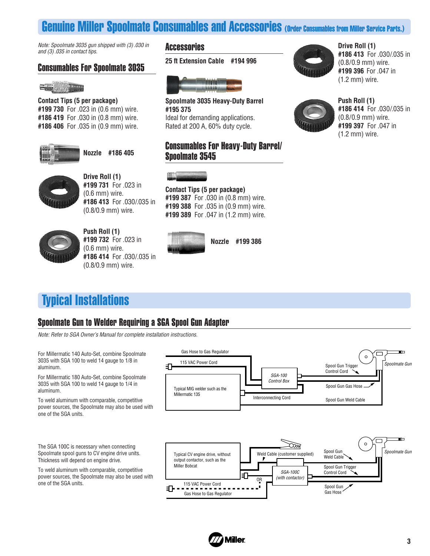### Genuine Miller Spoolmate Consumables and Accessories (Order Consumables from Miller Service Parts.)

Note: Spoolmate 3035 gun shipped with (3) .030 in and (3) .035 in contact tips.

### Consumables For Spoolmate 3035



**Contact Tips (5 per package) #199 730** For .023 in (0.6 mm) wire. **#186 419** For .030 in (0.8 mm) wire. **#186 406** For .035 in (0.9 mm) wire.



**Nozzle #186 405**



**Drive Roll (1) #199 731** For .023 in (0.6 mm) wire. **#186 413** For .030/.035 in (0.8/0.9 mm) wire.



**Push Roll (1) #199 732** For .023 in (0.6 mm) wire. **#186 414** For .030/.035 in (0.8/0.9 mm) wire.

#### **Accessories**

**25 ft Extension Cable #194 996**



**Spoolmate 3035 Heavy-Duty Barrel #195 375** Ideal for demanding applications. Rated at 200 A, 60% duty cycle.

### Consumables For Heavy-Duty Barrel/ Spoolmate 3545



**Contact Tips (5 per package)**

**#199 387** For .030 in (0.8 mm) wire. **#199 388** For .035 in (0.9 mm) wire. **#199 389** For .047 in (1.2 mm) wire.



**Nozzle #199 386**

Typical Installations

### Spoolmate Gun to Welder Requiring a SGA Spool Gun Adapter

Note: Refer to SGA Owner's Manual for complete installation instructions.

Gas Hose to Gas Regulator m For Millermatic 140 Auto-Set, combine Spoolmate m  $\circ$ 3035 with SGA 100 to weld 14 gauge to 1/8 in 115 VAC Power Cord Spoolmate Gun ⅎ⅂ Spool Gun Trigger aluminum. Control Cord SGA-100 For Millermatic 180 Auto-Set, combine Spoolmate Control Box 3035 with SGA 100 to weld 14 gauge to 1/4 in Spool Gun Gas Hose Typical MIG welder such as the aluminum. Millermatic 135 Interconnecting Cord Spool Gun Weld Cable To weld aluminum with comparable, competitive power sources, the Spoolmate may also be used with one of the SGA units. 'n  $\circ$ The SGA 100C is necessary when connecting Œ Spool Gun Spoolmate Gun Spoolmate spool guns to CV engine drive units. Typical CV engine drive, without Weld Cable (customer supplied) Meld Cable Thickness will depend on engine drive. output contactor, such as the Miller Bobcat Spool Gun Trigger To weld aluminum with comparable, competitive SGA-100C Control Cord power sources, the Spoolmate may also be used with (with contactor) OR one of the SGA units. 115 VAC Power Cord Spool Gun EF-Gas Hose Gas Hose to Gas Regulator



**Drive Roll (1) #186 413** For .030/.035 in (0.8/0.9 mm) wire. **#199 396** For .047 in (1.2 mm) wire.



**Push Roll (1) #186 414** For .030/.035 in (0.8/0.9 mm) wire. **#199 397** For .047 in (1.2 mm) wire.